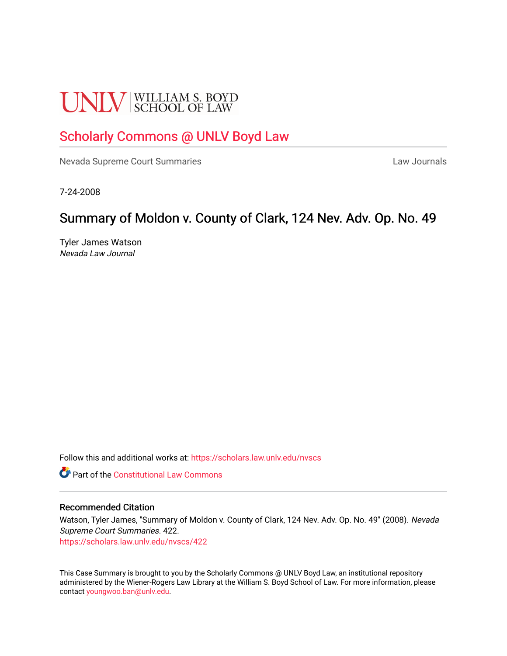# **UNLV** SCHOOL OF LAW

## [Scholarly Commons @ UNLV Boyd Law](https://scholars.law.unlv.edu/)

[Nevada Supreme Court Summaries](https://scholars.law.unlv.edu/nvscs) **Law Journals** Law Journals

7-24-2008

## Summary of Moldon v. County of Clark, 124 Nev. Adv. Op. No. 49

Tyler James Watson Nevada Law Journal

Follow this and additional works at: [https://scholars.law.unlv.edu/nvscs](https://scholars.law.unlv.edu/nvscs?utm_source=scholars.law.unlv.edu%2Fnvscs%2F422&utm_medium=PDF&utm_campaign=PDFCoverPages)

**C** Part of the Constitutional Law Commons

#### Recommended Citation

Watson, Tyler James, "Summary of Moldon v. County of Clark, 124 Nev. Adv. Op. No. 49" (2008). Nevada Supreme Court Summaries. 422.

[https://scholars.law.unlv.edu/nvscs/422](https://scholars.law.unlv.edu/nvscs/422?utm_source=scholars.law.unlv.edu%2Fnvscs%2F422&utm_medium=PDF&utm_campaign=PDFCoverPages)

This Case Summary is brought to you by the Scholarly Commons @ UNLV Boyd Law, an institutional repository administered by the Wiener-Rogers Law Library at the William S. Boyd School of Law. For more information, please contact [youngwoo.ban@unlv.edu](mailto:youngwoo.ban@unlv.edu).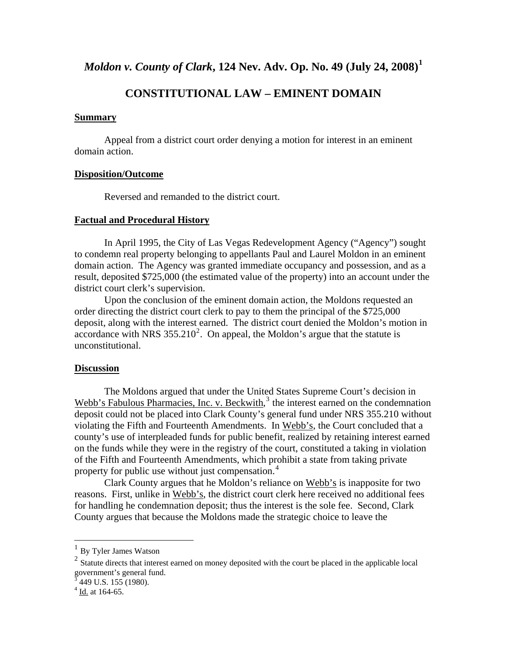*Moldon v. County of Clark***, 124 Nev. Adv. Op. No. 49 (July 24, 2008)[1](#page-1-0)**

### **CONSTITUTIONAL LAW – EMINENT DOMAIN**

#### **Summary**

 Appeal from a district court order denying a motion for interest in an eminent domain action.

#### **Disposition/Outcome**

Reversed and remanded to the district court.

#### **Factual and Procedural History**

 In April 1995, the City of Las Vegas Redevelopment Agency ("Agency") sought to condemn real property belonging to appellants Paul and Laurel Moldon in an eminent domain action. The Agency was granted immediate occupancy and possession, and as a result, deposited \$725,000 (the estimated value of the property) into an account under the district court clerk's supervision.

Upon the conclusion of the eminent domain action, the Moldons requested an order directing the district court clerk to pay to them the principal of the \$725,000 deposit, along with the interest earned. The district court denied the Moldon's motion in accordance with NRS  $355.210^2$  $355.210^2$  $355.210^2$ . On appeal, the Moldon's argue that the statute is unconstitutional.

#### **Discussion**

 The Moldons argued that under the United States Supreme Court's decision in Webb's Fabulous Pharmacies, Inc. v. Beckwith,<sup>[3](#page-1-2)</sup> the interest earned on the condemnation deposit could not be placed into Clark County's general fund under NRS 355.210 without violating the Fifth and Fourteenth Amendments. In Webb's, the Court concluded that a county's use of interpleaded funds for public benefit, realized by retaining interest earned on the funds while they were in the registry of the court, constituted a taking in violation of the Fifth and Fourteenth Amendments, which prohibit a state from taking private property for public use without just compensation.<sup>[4](#page-1-3)</sup>

 Clark County argues that he Moldon's reliance on Webb's is inapposite for two reasons. First, unlike in Webb's, the district court clerk here received no additional fees for handling he condemnation deposit; thus the interest is the sole fee. Second, Clark County argues that because the Moldons made the strategic choice to leave the

 $\overline{a}$ 

<span id="page-1-1"></span><span id="page-1-0"></span> $\frac{1}{2}$  By Tyler James Watson  $\frac{1}{2}$  Statute directs that interest earned on money deposited with the court be placed in the applicable local government's general fund. 3 449 U.S. 155 (1980).

<span id="page-1-3"></span><span id="page-1-2"></span> $4$  Id. at 164-65.